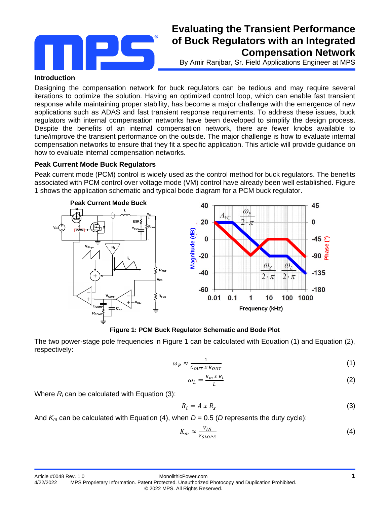

# **Evaluating the Transient Performance of Buck Regulators with an Integrated Compensation Network**

By Amir Ranjbar, Sr. Field Applications Engineer at MPS

#### **Introduction**

Designing the compensation network for buck regulators can be tedious and may require several iterations to optimize the solution. Having an optimized control loop, which can enable fast transient response while maintaining proper stability, has become a major challenge with the emergence of new applications such as ADAS and fast transient response requirements. To address these issues, buck regulators with internal compensation networks have been developed to simplify the design process. Despite the benefits of an internal compensation network, there are fewer knobs available to tune/improve the transient performance on the outside. The major challenge is how to evaluate internal compensation networks to ensure that they fit a specific application. This article will provide guidance on how to evaluate internal compensation networks.

## **Peak Current Mode Buck Regulators**

Peak current mode (PCM) control is widely used as the control method for buck regulators. The benefits associated with PCM control over voltage mode (VM) control have already been well established. Figure 1 shows the application schematic and typical bode diagram for a PCM buck regulator.



**Figure 1: PCM Buck Regulator Schematic and Bode Plot**

The two power-stage pole frequencies in Figure 1 can be calculated with Equation (1) and Equation (2), respectively:

$$
\omega_P \approx \frac{1}{c_{OUT} \times R_{OUT}} \tag{1}
$$

$$
\omega_L = \frac{K_m \times R_i}{L} \tag{2}
$$

Where *R<sup>i</sup>* can be calculated with Equation (3):

$$
R_i = A \times R_s \tag{3}
$$

And  $K_m$  can be calculated with Equation (4), when  $D = 0.5$  (D represents the duty cycle):

$$
K_m \approx \frac{V_{IN}}{V_{SLOPE}}\tag{4}
$$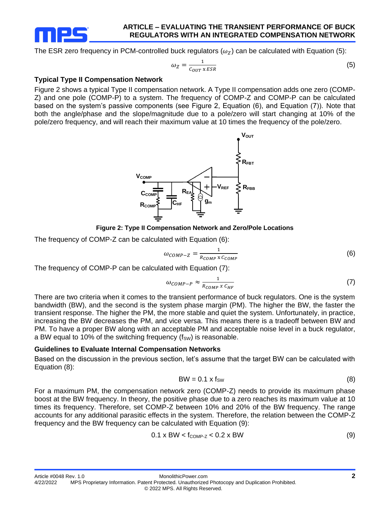

#### **ARTICLE – EVALUATING THE TRANSIENT PERFORMANCE OF BUCK REGULATORS WITH AN INTEGRATED COMPENSATION NETWORK**

The ESR zero frequency in PCM-controlled buck regulators ( $\omega_z$ ) can be calculated with Equation (5):

$$
\omega_Z = \frac{1}{c_{OUT} \times ESR} \tag{5}
$$

#### **Typical Type II Compensation Network**

Figure 2 shows a typical Type II compensation network. A Type II compensation adds one zero (COMP-Z) and one pole (COMP-P) to a system. The frequency of COMP-Z and COMP-P can be calculated based on the system's passive components (see Figure 2, Equation (6), and Equation (7)). Note that both the angle/phase and the slope/magnitude due to a pole/zero will start changing at 10% of the pole/zero frequency, and will reach their maximum value at 10 times the frequency of the pole/zero.



**Figure 2: Type II Compensation Network and Zero/Pole Locations**

The frequency of COMP-Z can be calculated with Equation (6):

$$
\omega_{COMP-Z} = \frac{1}{R_{COMP} \times C_{COMP}} \tag{6}
$$

The frequency of COMP-P can be calculated with Equation (7):

$$
\omega_{COMP-P} \approx \frac{1}{R_{COMP} \times C_{HF}} \tag{7}
$$

There are two criteria when it comes to the transient performance of buck regulators. One is the system bandwidth (BW), and the second is the system phase margin (PM). The higher the BW, the faster the transient response. The higher the PM, the more stable and quiet the system. Unfortunately, in practice, increasing the BW decreases the PM, and vice versa. This means there is a tradeoff between BW and PM. To have a proper BW along with an acceptable PM and acceptable noise level in a buck regulator, a BW equal to 10% of the switching frequency  $(f_{SW})$  is reasonable.

#### **Guidelines to Evaluate Internal Compensation Networks**

Based on the discussion in the previous section, let's assume that the target BW can be calculated with Equation (8):

$$
BW = 0.1 \times f_{SW}
$$
 (8)

For a maximum PM, the compensation network zero (COMP-Z) needs to provide its maximum phase boost at the BW frequency. In theory, the positive phase due to a zero reaches its maximum value at 10 times its frequency. Therefore, set COMP-Z between 10% and 20% of the BW frequency. The range accounts for any additional parasitic effects in the system. Therefore, the relation between the COMP-Z frequency and the BW frequency can be calculated with Equation (9):

$$
0.1 \times BW < f_{COMP-Z} < 0.2 \times BW \tag{9}
$$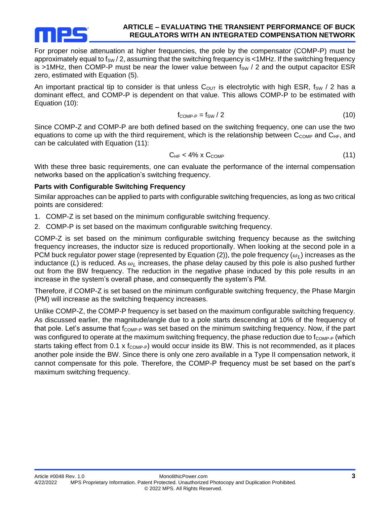

#### **ARTICLE – EVALUATING THE TRANSIENT PERFORMANCE OF BUCK REGULATORS WITH AN INTEGRATED COMPENSATION NETWORK**

For proper noise attenuation at higher frequencies, the pole by the compensator (COMP-P) must be approximately equal to  $f_{SW}$  / 2, assuming that the switching frequency is  $\lt 1$ MHz. If the switching frequency is >1MHz, then COMP-P must be near the lower value between  $f_{SW}$  / 2 and the output capacitor ESR zero, estimated with Equation (5).

An important practical tip to consider is that unless  $C_{\text{OUT}}$  is electrolytic with high ESR, f<sub>SW</sub> / 2 has a dominant effect, and COMP-P is dependent on that value. This allows COMP-P to be estimated with Equation (10):

$$
f_{\text{COMP-P}} = f_{\text{SW}} / 2 \tag{10}
$$

Since COMP-Z and COMP-P are both defined based on the switching frequency, one can use the two equations to come up with the third requirement, which is the relationship between  $C_{COMP}$  and  $C_{HF}$ , and can be calculated with Equation (11):

$$
C_{HF} < 4\% \times C_{COMP} \tag{11}
$$

With these three basic requirements, one can evaluate the performance of the internal compensation networks based on the application's switching frequency.

## **Parts with Configurable Switching Frequency**

Similar approaches can be applied to parts with configurable switching frequencies, as long as two critical points are considered:

- 1. COMP-Z is set based on the minimum configurable switching frequency.
- 2. COMP-P is set based on the maximum configurable switching frequency.

COMP-Z is set based on the minimum configurable switching frequency because as the switching frequency increases, the inductor size is reduced proportionally. When looking at the second pole in a PCM buck regulator power stage (represented by Equation (2)), the pole frequency ( $\omega_L$ ) increases as the inductance (*L*) is reduced. As  $\omega_L$  increases, the phase delay caused by this pole is also pushed further out from the BW frequency. The reduction in the negative phase induced by this pole results in an increase in the system's overall phase, and consequently the system's PM.

Therefore, if COMP-Z is set based on the minimum configurable switching frequency, the Phase Margin (PM) will increase as the switching frequency increases.

Unlike COMP-Z, the COMP-P frequency is set based on the maximum configurable switching frequency. As discussed earlier, the magnitude/angle due to a pole starts descending at 10% of the frequency of that pole. Let's assume that  $f_{\text{COMP-P}}$  was set based on the minimum switching frequency. Now, if the part was configured to operate at the maximum switching frequency, the phase reduction due to  $f_{\text{COMP-P}}$  (which starts taking effect from 0.1 x f<sub>COMP-P</sub>) would occur inside its BW. This is not recommended, as it places another pole inside the BW. Since there is only one zero available in a Type II compensation network, it cannot compensate for this pole. Therefore, the COMP-P frequency must be set based on the part's maximum switching frequency.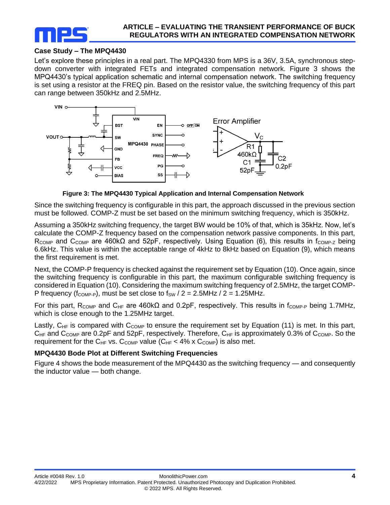

# **Case Study – The MPQ4430**

Let's explore these principles in a real part. The MPQ4330 from MPS is a 36V, 3.5A, synchronous stepdown converter with integrated FETs and integrated compensation network. Figure 3 shows the MPQ4430's typical application schematic and internal compensation network. The switching frequency is set using a resistor at the FREQ pin. Based on the resistor value, the switching frequency of this part can range between 350kHz and 2.5MHz.



**Figure 3: The MPQ4430 Typical Application and Internal Compensation Network**

Since the switching frequency is configurable in this part, the approach discussed in the previous section must be followed. COMP-Z must be set based on the minimum switching frequency, which is 350kHz.

Assuming a 350kHz switching frequency, the target BW would be 10% of that, which is 35kHz. Now, let's calculate the COMP-Z frequency based on the compensation network passive components. In this part, R<sub>COMP</sub> and C<sub>COMP</sub> are 460kΩ and 52pF, respectively. Using Equation (6), this results in f<sub>COMP-Z</sub> being 6.6kHz. This value is within the acceptable range of 4kHz to 8kHz based on Equation (9), which means the first requirement is met.

Next, the COMP-P frequency is checked against the requirement set by Equation (10). Once again, since the switching frequency is configurable in this part, the maximum configurable switching frequency is considered in Equation (10). Considering the maximum switching frequency of 2.5MHz, the target COMP-P frequency ( $f_{\text{COMP-P}}$ ), must be set close to  $f_{SW}$  / 2 = 2.5MHz / 2 = 1.25MHz.

For this part, R<sub>COMP</sub> and C<sub>HF</sub> are 460kΩ and 0.2pF, respectively. This results in f<sub>COMP-P</sub> being 1.7MHz, which is close enough to the 1.25MHz target.

Lastly,  $C_{HF}$  is compared with  $C_{COMP}$  to ensure the requirement set by Equation (11) is met. In this part,  $C<sub>HF</sub>$  and  $C<sub>COMP</sub>$  are 0.2pF and 52pF, respectively. Therefore,  $C<sub>HF</sub>$  is approximately 0.3% of  $C<sub>COMP</sub>$ . So the requirement for the C<sub>HF</sub> vs. C<sub>COMP</sub> value (C<sub>HF</sub> < 4% x C<sub>COMP</sub>) is also met.

# **MPQ4430 Bode Plot at Different Switching Frequencies**

Figure 4 shows the bode measurement of the MPQ4430 as the switching frequency — and consequently the inductor value — both change.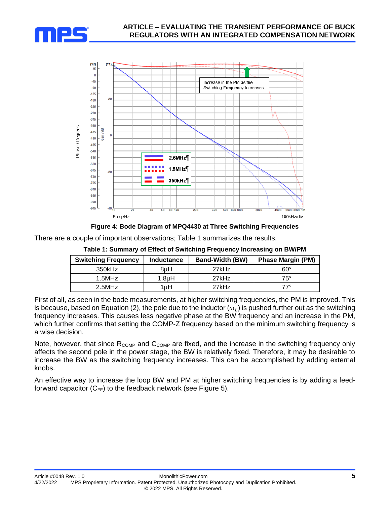



**Figure 4: Bode Diagram of MPQ4430 at Three Switching Frequencies**

There are a couple of important observations; Table 1 summarizes the results.

**Table 1: Summary of Effect of Switching Frequency Increasing on BW/PM**

| <b>Switching Frequency</b> | <b>Inductance</b>  | <b>Band-Width (BW)</b> | <b>Phase Margin (PM)</b> |
|----------------------------|--------------------|------------------------|--------------------------|
| $350$ kHz                  | 8uH                | 27kHz                  | $60^{\circ}$             |
| 1.5MHz                     | 1.8 <sub>u</sub> H | 27kHz                  | $75^\circ$               |
| $2.5$ MHz                  | 1uH                | 27kHz                  | 77°                      |

First of all, as seen in the bode measurements, at higher switching frequencies, the PM is improved. This is because, based on Equation (2), the pole due to the inductor ( $\omega_L$ ) is pushed further out as the switching frequency increases. This causes less negative phase at the BW frequency and an increase in the PM, which further confirms that setting the COMP-Z frequency based on the minimum switching frequency is a wise decision.

Note, however, that since R<sub>COMP</sub> and C<sub>COMP</sub> are fixed, and the increase in the switching frequency only affects the second pole in the power stage, the BW is relatively fixed. Therefore, it may be desirable to increase the BW as the switching frequency increases. This can be accomplished by adding external knobs.

An effective way to increase the loop BW and PM at higher switching frequencies is by adding a feedforward capacitor  $(C_{FF})$  to the feedback network (see Figure 5).